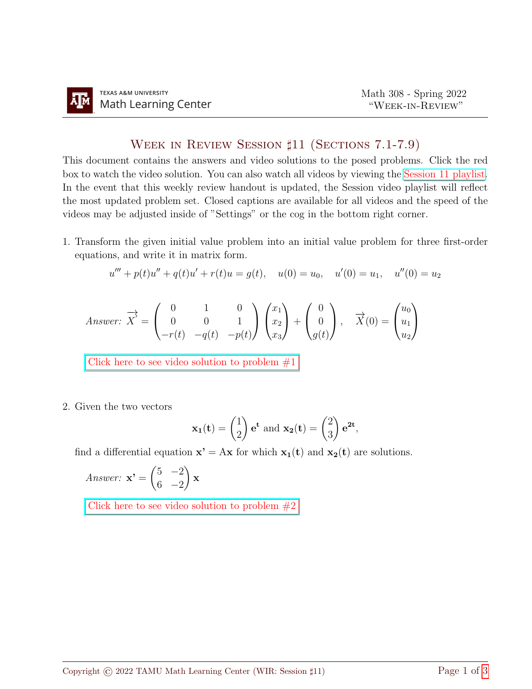## Week in Review Session ♯11 (Sections 7.1-7.9)

This document contains the answers and video solutions to the posed problems. Click the red box to watch the video solution. You can also watch all videos by viewing the [Session 11 playlist.](https://youtube.com/playlist?list=PLwFg2cC3rFdnEd12SgHjgT8Ij-3YaExfU) In the event that this weekly review handout is updated, the Session video playlist will reflect the most updated problem set. Closed captions are available for all videos and the speed of the videos may be adjusted inside of "Settings" or the cog in the bottom right corner.

1. Transform the given initial value problem into an initial value problem for three first-order equations, and write it in matrix form.

$$
u''' + p(t)u'' + q(t)u' + r(t)u = g(t), \quad u(0) = u_0, \quad u'(0) = u_1, \quad u''(0) = u_2
$$

Answer: 
$$
\overrightarrow{X}' = \begin{pmatrix} 0 & 1 & 0 \\ 0 & 0 & 1 \\ -r(t) & -q(t) & -p(t) \end{pmatrix} \begin{pmatrix} x_1 \\ x_2 \\ x_3 \end{pmatrix} + \begin{pmatrix} 0 \\ 0 \\ g(t) \end{pmatrix}, \quad \overrightarrow{X}(0) = \begin{pmatrix} u_0 \\ u_1 \\ u_2 \end{pmatrix}
$$

Click here to see video solution to problem  $#1$ 

2. Given the two vectors

$$
\mathbf{x_1}(t) = \begin{pmatrix} 1 \\ 2 \end{pmatrix} e^t
$$
 and  $\mathbf{x_2}(t) = \begin{pmatrix} 2 \\ 3 \end{pmatrix} e^{2t}$ ,

find a differential equation  $\mathbf{x}' = A\mathbf{x}$  for which  $\mathbf{x}_1(t)$  and  $\mathbf{x}_2(t)$  are solutions.

Answer: 
$$
\mathbf{x'} = \begin{pmatrix} 5 & -2 \\ 6 & -2 \end{pmatrix} \mathbf{x}
$$

Click here to see video solution to problem  $#2$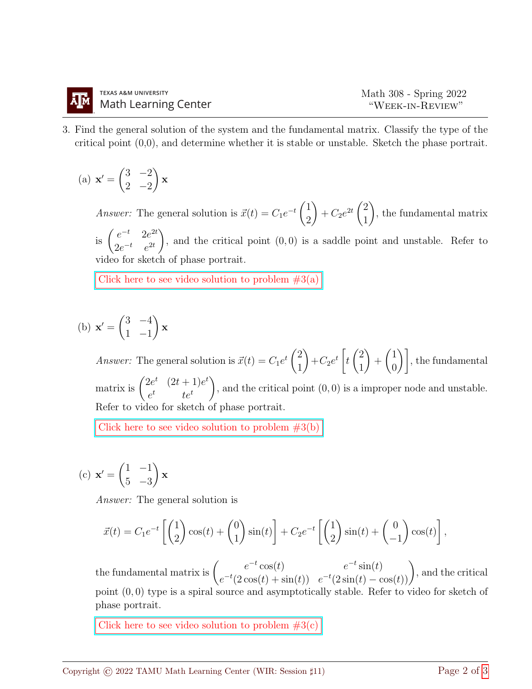3. Find the general solution of the system and the fundamental matrix. Classify the type of the critical point (0,0), and determine whether it is stable or unstable. Sketch the phase portrait.

(a) 
$$
\mathbf{x}' = \begin{pmatrix} 3 & -2 \\ 2 & -2 \end{pmatrix} \mathbf{x}
$$

*Answer:* The general solution is  $\vec{x}(t) = C_1 e^{-t} \begin{pmatrix} 1 \\ 0 \end{pmatrix}$ 2  $\setminus$  $+ C_2 e^{2t} \left( \frac{2}{1} \right)$ 1  $\setminus$ , the fundamental matrix is  $\int_{0}^{e^{-t}} \frac{2e^{2t}}{2t}$  $2e^{-t}$   $e^{2t}$  $\setminus$ , and the critical point  $(0, 0)$  is a saddle point and unstable. Refer to video for sketch of phase portrait.

Click here to see video solution to problem  $#3(a)$ 

(b) 
$$
\mathbf{x}' = \begin{pmatrix} 3 & -4 \\ 1 & -1 \end{pmatrix} \mathbf{x}
$$

*Answer:* The general solution is  $\vec{x}(t) = C_1 e^{t} \begin{pmatrix} 2 \\ 1 \end{pmatrix}$ 1  $\setminus$  $+C_2e^t\Big[$ t  $\sqrt{2}$ 1  $\setminus$  $+$  $\sqrt{1}$  $\begin{bmatrix} 1 \ 0 \end{bmatrix}$ , the fundamental matrix is  $\begin{pmatrix} 2e^t & (2t+1)e^t \\ t & t \end{pmatrix}$  $e^t$  te<sup>t</sup>  $\setminus$ , and the critical point (0, 0) is a improper node and unstable. Refer to video for sketch of phase portrait.

Click here to see video solution to problem  $\#3(\mathbf{b})$ 

(c) 
$$
\mathbf{x}' = \begin{pmatrix} 1 & -1 \\ 5 & -3 \end{pmatrix} \mathbf{x}
$$

Answer: The general solution is

$$
\vec{x}(t) = C_1 e^{-t} \left[ \begin{pmatrix} 1 \\ 2 \end{pmatrix} \cos(t) + \begin{pmatrix} 0 \\ 1 \end{pmatrix} \sin(t) \right] + C_2 e^{-t} \left[ \begin{pmatrix} 1 \\ 2 \end{pmatrix} \sin(t) + \begin{pmatrix} 0 \\ -1 \end{pmatrix} \cos(t) \right],
$$

the fundamental matrix is  $\begin{pmatrix} e^{-t} \cos(t) & e^{-t} \sin(t) \ -t \cos(t) & 0 & \cos(t) \end{pmatrix}$  $e^{-t}\cos(t)$   $e^{-t}\sin(t)$   $e^{-t}(\sin(t) - \cos(t))$ , and the critical point (0, 0) type is a spiral source and asymptotically stable. Refer to video for sketch of phase portrait.

Click here to see video solution to problem  $#3(c)$